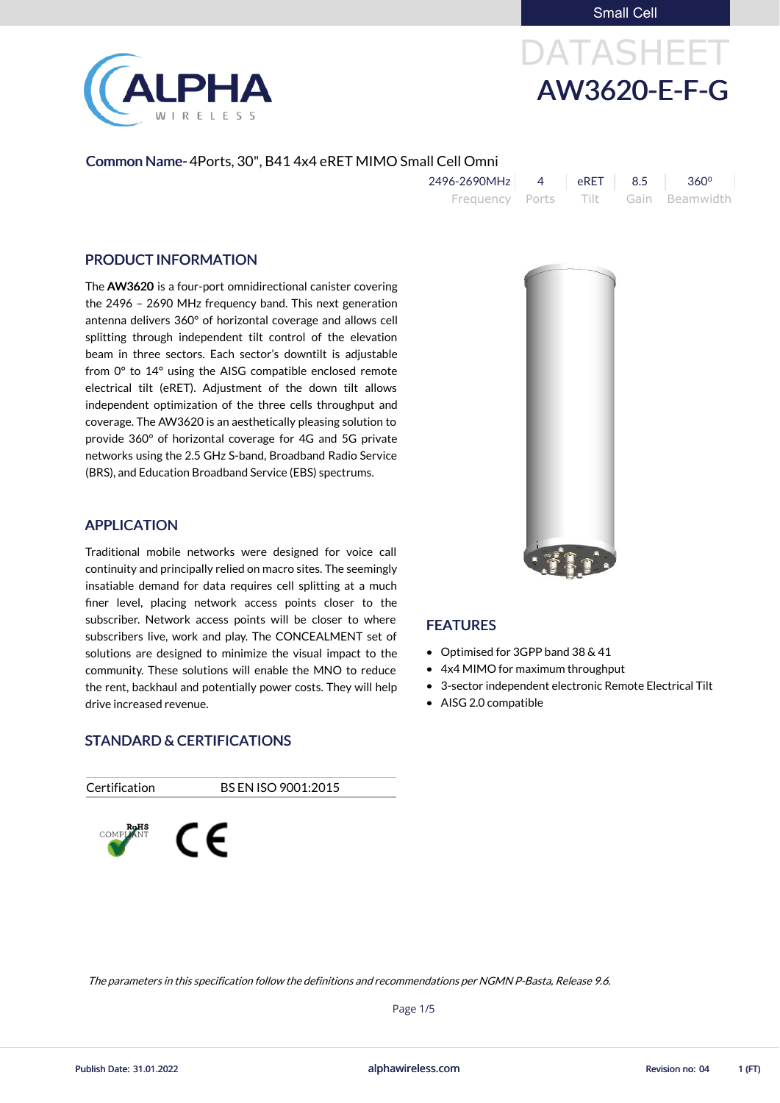Small Cell



# DATASHEET AW3620-E-F-G

#### Common Name- 4Ports, 30", B41 4x4 eRET MIMO Small Cell Omni

| 2496-2690MHz | eRET   8.5 | $360^\circ$                         |
|--------------|------------|-------------------------------------|
|              |            | Frequency Ports Tilt Gain Beamwidth |

#### PRODUCT INFORMATION

The AW3620 is a four-port omnidirectional canister covering the 2496 – 2690 MHz frequency band. This next generation antenna delivers 360° of horizontal coverage and allows cell splitting through independent tilt control of the elevation beam in three sectors. Each sector's downtilt is adjustable from 0° to 14° using the AISG compatible enclosed remote electrical tilt (eRET). Adjustment of the down tilt allows independent optimization of the three cells throughput and coverage. The AW3620 is an aesthetically pleasing solution to provide 360° of horizontal coverage for 4G and 5G private networks using the 2.5 GHz S-band, Broadband Radio Service (BRS), and Education Broadband Service (EBS) spectrums.

- Optimised for 3GPP band 38 & 41
- 4x4 MIMO for maximum throughput
- 3-sector independent electronic Remote Electrical Tilt
- AISG 2.0 compatible



#### APPLICATION

Traditional mobile networks were designed for voice call continuity and principally relied on macro sites. The seemingly insatiable demand for data requires cell splitting at a much finer level, placing network access points closer to the subscriber. Network access points will be closer to where subscribers live, work and play. The CONCEALMENT set of solutions are designed to minimize the visual impact to the community. These solutions will enable the MNO to reduce the rent, backhaul and potentially power costs. They will help drive increased revenue.



Certification BS EN ISO 9001:2015





### FEATURES

alphawireless.com

Publish Date: 31.01.2022 **Revision no: 04** 1 (FT) and the state of the state of the state of the state of the state of the state of the state of the state of the state of the state of the state of the state of the state of

Page 1/5

#### The parameters in this specification follow the definitions and recommendations per NGMN P-Basta, Release 9.6.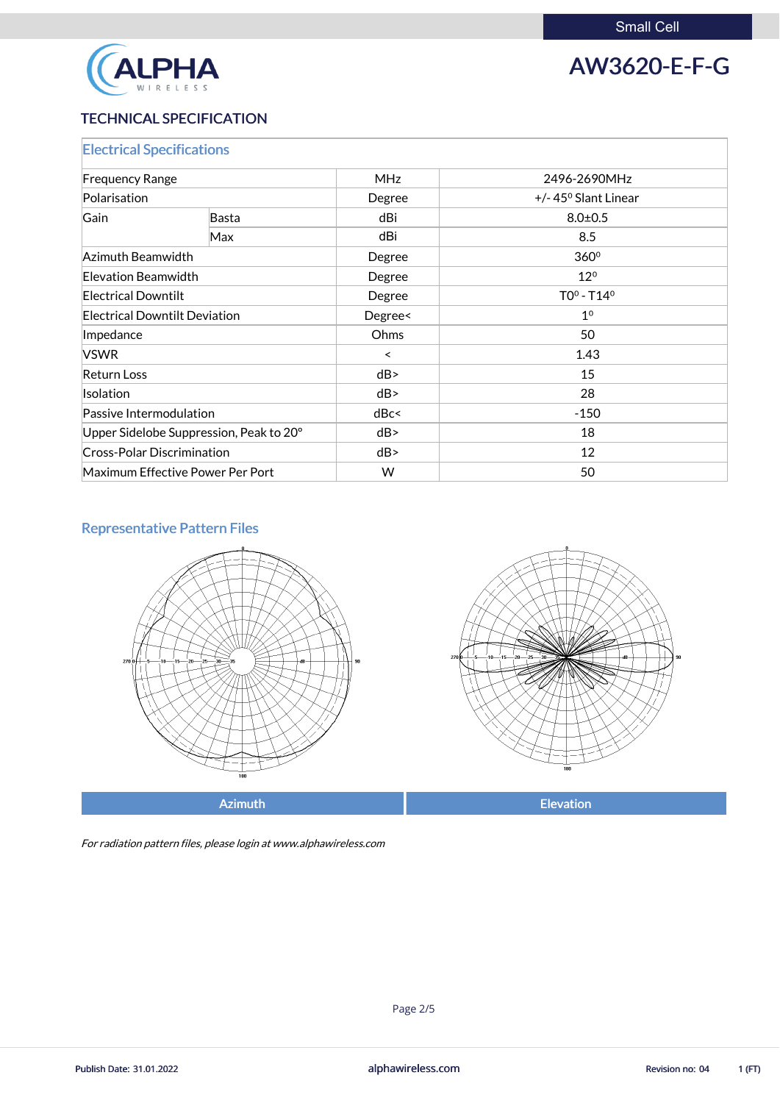

## AW3620-E-F-G

### TECHNICAL SPECIFICATION

| <b>Electrical Specifications</b>        |              |            |                               |  |
|-----------------------------------------|--------------|------------|-------------------------------|--|
| <b>Frequency Range</b>                  |              | <b>MHz</b> | 2496-2690MHz                  |  |
| Polarisation                            |              | Degree     | $+/- 45^{\circ}$ Slant Linear |  |
| Gain                                    | <b>Basta</b> | dBi        | $8.0 \pm 0.5$                 |  |
|                                         | Max          | dBi        | 8.5                           |  |
| Azimuth Beamwidth                       |              | Degree     | 360 <sup>°</sup>              |  |
| Elevation Beamwidth                     |              | Degree     | $12^{\circ}$                  |  |
| <b>Electrical Downtilt</b>              |              | Degree     | $TO0 - T140$                  |  |
| <b>Electrical Downtilt Deviation</b>    |              | Degree<    | 1 <sup>0</sup>                |  |
| Impedance                               |              | Ohms       | 50                            |  |
| <b>VSWR</b>                             |              | $\prec$    | 1.43                          |  |
| <b>Return Loss</b>                      |              | dB         | 15                            |  |
| <b>Isolation</b>                        |              | dB         | 28                            |  |
| Passive Intermodulation                 |              | dBc<       | $-150$                        |  |
| Upper Sidelobe Suppression, Peak to 20° |              | dB         | 18                            |  |
| <b>Cross-Polar Discrimination</b>       |              | dB         | 12                            |  |
| Maximum Effective Power Per Port        |              | W          | 50                            |  |

### Representative Pattern Files





For radiation pattern files, please login at www.alphawireless.com

alphawireless.com

Publish Date: 31.01.2022 **Publish Date: 31.01.2022** alphawireless.com **alphawireless.com** Revision no: 04 1 (FT)

Page 2/5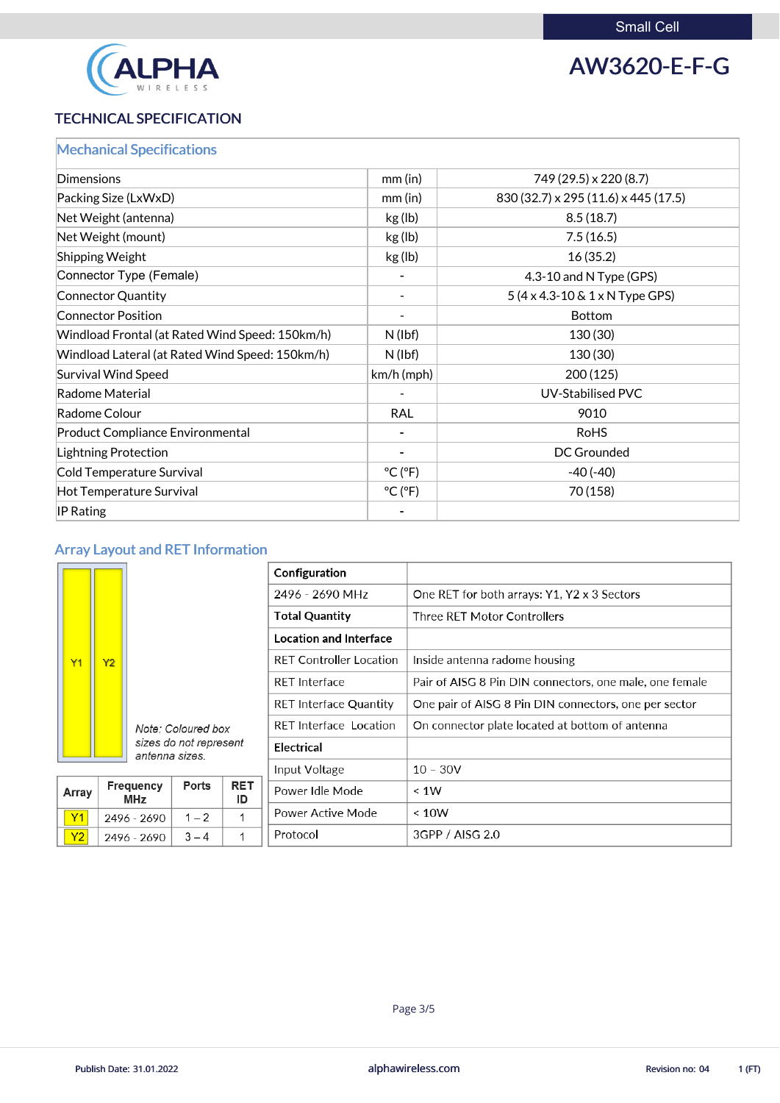

## AW3620-E-F-G

### TECHNICAL SPECIFICATION

| <b>Mechanical Specifications</b>                |                              |                                               |
|-------------------------------------------------|------------------------------|-----------------------------------------------|
| <b>Dimensions</b>                               | $mm$ (in)                    | 749 (29.5) x 220 (8.7)                        |
| Packing Size (LxWxD)                            | $mm$ (in)                    | 830 (32.7) x 295 (11.6) x 445 (17.5)          |
| Net Weight (antenna)                            | kg(lb)                       | 8.5(18.7)                                     |
| Net Weight (mount)                              | kg(lb)                       | 7.5(16.5)                                     |
| <b>Shipping Weight</b>                          | kg(lb)                       | 16(35.2)                                      |
| Connector Type (Female)                         |                              | 4.3-10 and N Type (GPS)                       |
| Connector Quantity                              | $\overline{\phantom{a}}$     | $5(4 \times 4.3 - 10 \& 1 \times N$ Type GPS) |
| <b>Connector Position</b>                       |                              | <b>Bottom</b>                                 |
| Windload Frontal (at Rated Wind Speed: 150km/h) | $N$ (lbf)                    | 130 (30)                                      |
| Windload Lateral (at Rated Wind Speed: 150km/h) | $N$ (lbf)                    | 130 (30)                                      |
| Survival Wind Speed                             | $km/h$ (mph)                 | 200(125)                                      |
| Radome Material                                 |                              | <b>UV-Stabilised PVC</b>                      |
| Radome Colour                                   | <b>RAL</b>                   | 9010                                          |
| <b>Product Compliance Environmental</b>         | -                            | <b>RoHS</b>                                   |
| Lightning Protection                            |                              | <b>DC Grounded</b>                            |
| Cold Temperature Survival                       | $^{\circ}$ C ( $^{\circ}$ F) | $-40(-40)$                                    |
| Hot Temperature Survival                        | $^{\circ}$ C ( $^{\circ}$ F) | 70 (158)                                      |
| $\mathsf{IP}$ Rating                            |                              |                                               |

## Array Layout and RET Information

|  |                             |                |                                          |               |                  | Configuration                          |                                                         |
|--|-----------------------------|----------------|------------------------------------------|---------------|------------------|----------------------------------------|---------------------------------------------------------|
|  |                             |                |                                          |               |                  | 2496 - 2690 MHz                        | One RET for both arrays: Y1, Y2 x 3 Sectors             |
|  |                             |                |                                          |               |                  | <b>Total Quantity</b>                  | Three RET Motor Controllers                             |
|  |                             |                |                                          |               |                  | <b>Location and Interface</b>          |                                                         |
|  | Y1                          | Y <sub>2</sub> |                                          |               |                  | <b>RET Controller Location</b>         | Inside antenna radome housing                           |
|  |                             |                |                                          |               |                  | <b>RET</b> Interface                   | Pair of AISG 8 Pin DIN connectors, one male, one female |
|  |                             |                | Note: Coloured box                       |               |                  | <b>RET Interface Quantity</b>          | One pair of AISG 8 Pin DIN connectors, one per sector   |
|  |                             |                |                                          |               |                  | <b>RET</b> Interface Location          | On connector plate located at bottom of antenna         |
|  |                             |                | sizes do not represent<br>antenna sizes. |               |                  | <b>Electrical</b>                      |                                                         |
|  |                             |                |                                          | Input Voltage | $10 - 30V$       |                                        |                                                         |
|  | Array                       |                | Frequency<br><b>MHz</b>                  | <b>Ports</b>  | <b>RET</b><br>ID | Power Idle Mode                        | $\leq 1W$                                               |
|  | Y1                          |                | 2496 - 2690                              | $1 - 2$       | 1                | <b>Power Active Mode</b>               | < 10W                                                   |
|  | $\sim$ $\sim$ $\sim$ $\sim$ |                |                                          |               |                  | $D \cdot \alpha + \alpha \cdot \alpha$ | 2000/100020                                             |

alphawireless.com

Page 3/5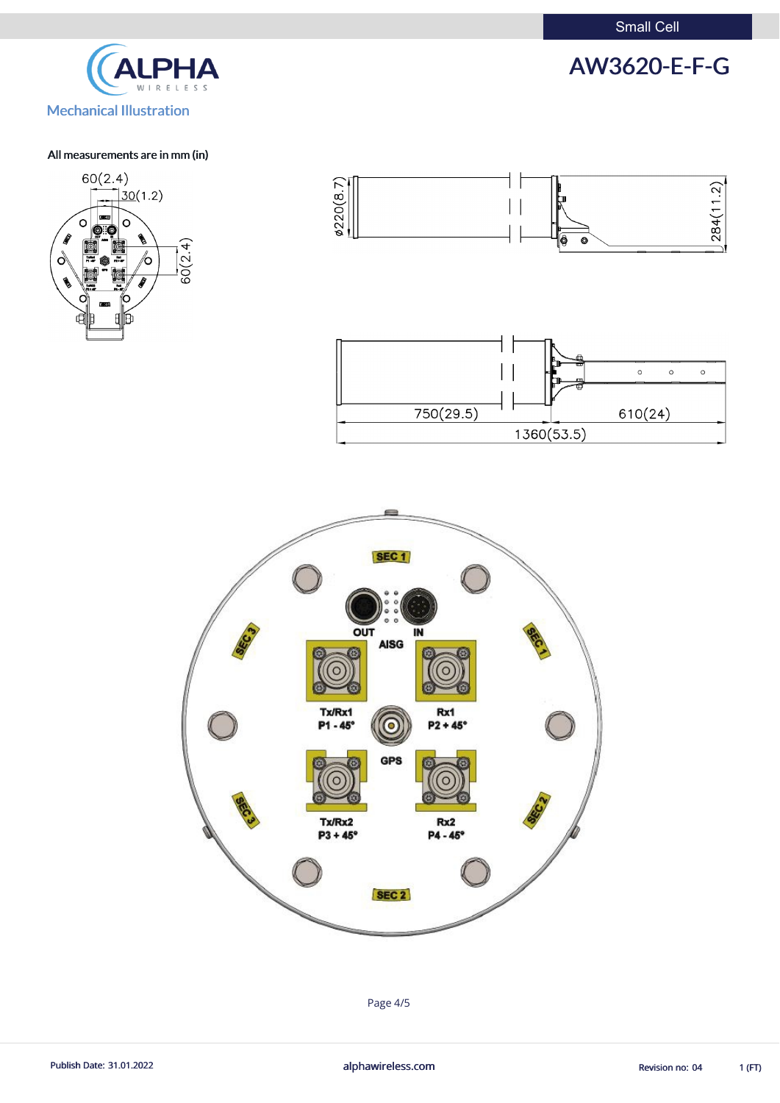Small Cell

## AW3620-E-F-G



#### All measurements are in mm (in)







Page 4/5

Publish Date: 31.01.2022 **alphawireless.com** alphawireless.com Revision no: 04 1 (FT)